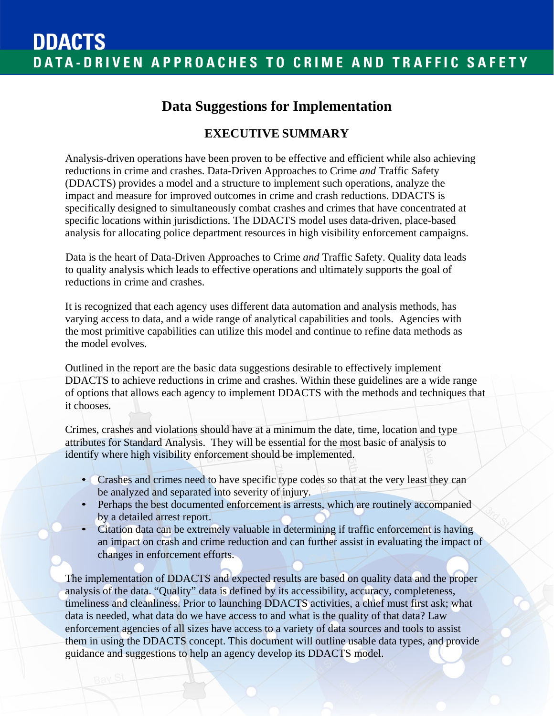## **Data Suggestions for Implementation**

### **EXECUTIVE SUMMARY**

Analysis-driven operations have been proven to be effective and efficient while also achieving reductions in crime and crashes. Data-Driven Approaches to Crime *and* Traffic Safety (DDACTS) provides a model and a structure to implement such operations, analyze the impact and measure for improved outcomes in crime and crash reductions. DDACTS is specifically designed to simultaneously combat crashes and crimes that have concentrated at specific locations within jurisdictions. The DDACTS model uses data-driven, place-based analysis for allocating police department resources in high visibility enforcement campaigns.

Data is the heart of Data-Driven Approaches to Crime *and* Traffic Safety. Quality data leads to quality analysis which leads to effective operations and ultimately supports the goal of reductions in crime and crashes.

It is recognized that each agency uses different data automation and analysis methods, has varying access to data, and a wide range of analytical capabilities and tools. Agencies with the most primitive capabilities can utilize this model and continue to refine data methods as the model evolves.

Outlined in the report are the basic data suggestions desirable to effectively implement DDACTS to achieve reductions in crime and crashes. Within these guidelines are a wide range of options that allows each agency to implement DDACTS with the methods and techniques that it chooses.

Crimes, crashes and violations should have at a minimum the date, time, location and type attributes for Standard Analysis. They will be essential for the most basic of analysis to identify where high visibility enforcement should be implemented.

- Crashes and crimes need to have specific type codes so that at the very least they can be analyzed and separated into severity of injury.
- Perhaps the best documented enforcement is arrests, which are routinely accompanied by a detailed arrest report.
- Citation data can be extremely valuable in determining if traffic enforcement is having an impact on crash and crime reduction and can further assist in evaluating the impact of changes in enforcement efforts.

The implementation of DDACTS and expected results are based on quality data and the proper analysis of the data. "Quality" data is defined by its accessibility, accuracy, completeness, timeliness and cleanliness. Prior to launching DDACTS activities, a chief must first ask; what data is needed, what data do we have access to and what is the quality of that data? Law enforcement agencies of all sizes have access to a variety of data sources and tools to assist them in using the DDACTS concept. This document will outline usable data types, and provide guidance and suggestions to help an agency develop its DDACTS model.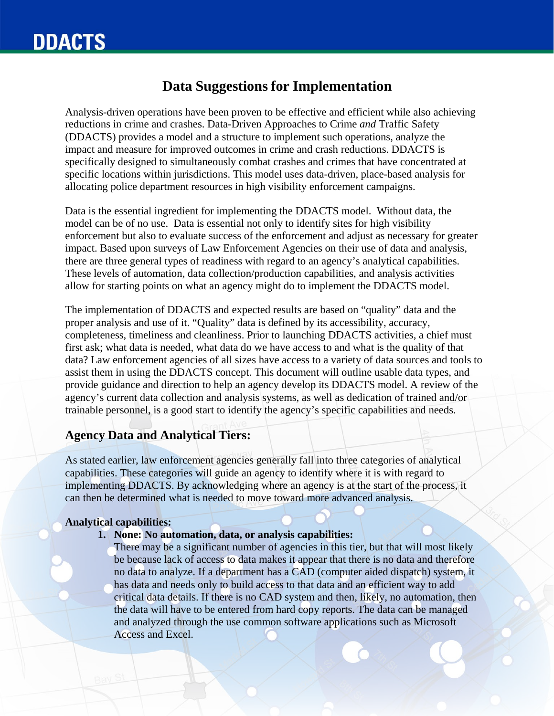### **Data Suggestions for Implementation**

Analysis-driven operations have been proven to be effective and efficient while also achieving reductions in crime and crashes. Data-Driven Approaches to Crime *and* Traffic Safety (DDACTS) provides a model and a structure to implement such operations, analyze the impact and measure for improved outcomes in crime and crash reductions. DDACTS is specifically designed to simultaneously combat crashes and crimes that have concentrated at specific locations within jurisdictions. This model uses data-driven, place-based analysis for allocating police department resources in high visibility enforcement campaigns.

Data is the essential ingredient for implementing the DDACTS model. Without data, the model can be of no use. Data is essential not only to identify sites for high visibility enforcement but also to evaluate success of the enforcement and adjust as necessary for greater impact. Based upon surveys of Law Enforcement Agencies on their use of data and analysis, there are three general types of readiness with regard to an agency's analytical capabilities. These levels of automation, data collection/production capabilities, and analysis activities allow for starting points on what an agency might do to implement the DDACTS model.

The implementation of DDACTS and expected results are based on "quality" data and the proper analysis and use of it. "Quality" data is defined by its accessibility, accuracy, completeness, timeliness and cleanliness. Prior to launching DDACTS activities, a chief must first ask; what data is needed, what data do we have access to and what is the quality of that data? Law enforcement agencies of all sizes have access to a variety of data sources and tools to assist them in using the DDACTS concept. This document will outline usable data types, and provide guidance and direction to help an agency develop its DDACTS model. A review of the agency's current data collection and analysis systems, as well as dedication of trained and/or trainable personnel, is a good start to identify the agency's specific capabilities and needs.

#### **Agency Data and Analytical Tiers:**

As stated earlier, law enforcement agencies generally fall into three categories of analytical capabilities. These categories will guide an agency to identify where it is with regard to implementing DDACTS. By acknowledging where an agency is at the start of the process, it can then be determined what is needed to move toward more advanced analysis.

#### **Analytical capabilities:**

#### **1. None: No automation, data, or analysis capabilities:**

There may be a significant number of agencies in this tier, but that will most likely be because lack of access to data makes it appear that there is no data and therefore no data to analyze. If a department has a CAD (computer aided dispatch) system, it has data and needs only to build access to that data and an efficient way to add critical data details. If there is no CAD system and then, likely, no automation, then the data will have to be entered from hard copy reports. The data can be managed and analyzed through the use common software applications such as Microsoft Access and Excel.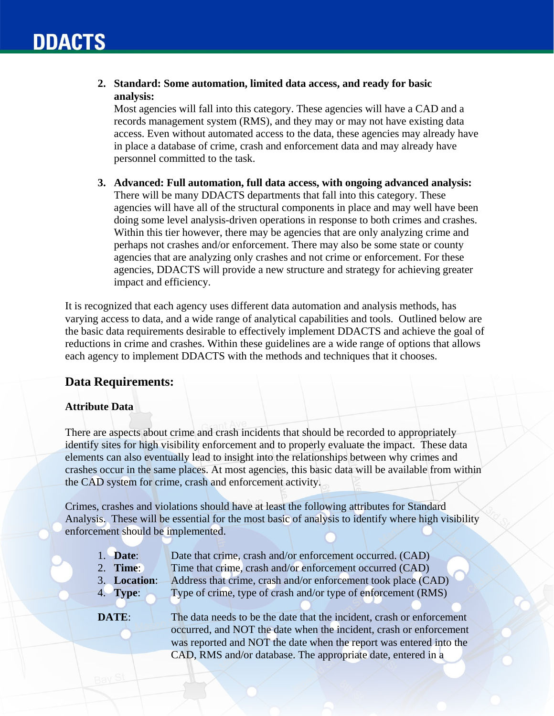**2. Standard: Some automation, limited data access, and ready for basic analysis:**

Most agencies will fall into this category. These agencies will have a CAD and a records management system (RMS), and they may or may not have existing data access. Even without automated access to the data, these agencies may already have in place a database of crime, crash and enforcement data and may already have personnel committed to the task.

**3. Advanced: Full automation, full data access, with ongoing advanced analysis:**  There will be many DDACTS departments that fall into this category. These agencies will have all of the structural components in place and may well have been doing some level analysis-driven operations in response to both crimes and crashes. Within this tier however, there may be agencies that are only analyzing crime and perhaps not crashes and/or enforcement. There may also be some state or county agencies that are analyzing only crashes and not crime or enforcement. For these agencies, DDACTS will provide a new structure and strategy for achieving greater impact and efficiency.

It is recognized that each agency uses different data automation and analysis methods, has varying access to data, and a wide range of analytical capabilities and tools. Outlined below are the basic data requirements desirable to effectively implement DDACTS and achieve the goal of reductions in crime and crashes. Within these guidelines are a wide range of options that allows each agency to implement DDACTS with the methods and techniques that it chooses.

#### **Data Requirements:**

#### **Attribute Data**

There are aspects about crime and crash incidents that should be recorded to appropriately identify sites for high visibility enforcement and to properly evaluate the impact. These data elements can also eventually lead to insight into the relationships between why crimes and crashes occur in the same places. At most agencies, this basic data will be available from within the CAD system for crime, crash and enforcement activity.

Crimes, crashes and violations should have at least the following attributes for Standard Analysis. These will be essential for the most basic of analysis to identify where high visibility enforcement should be implemented.

| $1.$ Date:   | Date that crime, crash and/or enforcement occurred. (CAD)             |
|--------------|-----------------------------------------------------------------------|
| 2. Time:     | Time that crime, crash and/or enforcement occurred (CAD)              |
| 3. Location: | Address that crime, crash and/or enforcement took place (CAD)         |
| 4. Type:     | Type of crime, type of crash and/or type of enforcement (RMS)         |
|              |                                                                       |
| DATE:        | The data needs to be the date that the incident, crash or enforcement |
|              | occurred and NOT the date when the incident crash or enforcement      |

occurred, and NOT the date when the incident, crash or enforcement was reported and NOT the date when the report was entered into the CAD, RMS and/or database. The appropriate date, entered in a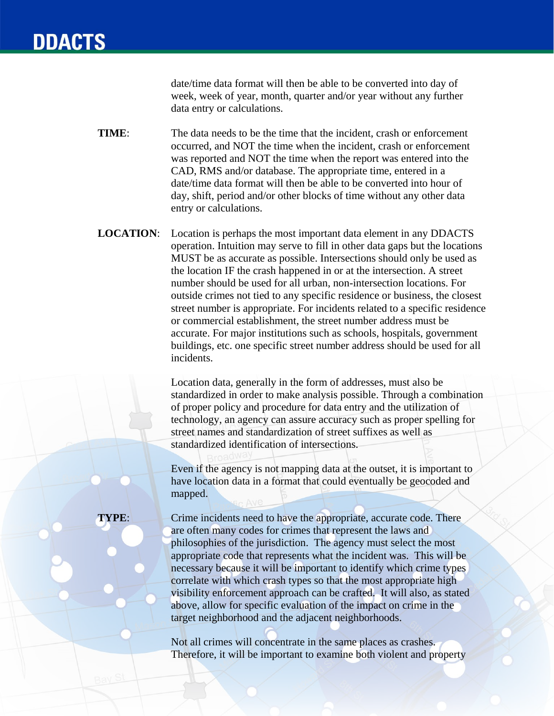date/time data format will then be able to be converted into day of week, week of year, month, quarter and/or year without any further data entry or calculations.

**TIME:** The data needs to be the time that the incident, crash or enforcement occurred, and NOT the time when the incident, crash or enforcement was reported and NOT the time when the report was entered into the CAD, RMS and/or database. The appropriate time, entered in a date/time data format will then be able to be converted into hour of day, shift, period and/or other blocks of time without any other data entry or calculations.

**LOCATION**: Location is perhaps the most important data element in any DDACTS operation. Intuition may serve to fill in other data gaps but the locations MUST be as accurate as possible. Intersections should only be used as the location IF the crash happened in or at the intersection. A street number should be used for all urban, non-intersection locations. For outside crimes not tied to any specific residence or business, the closest street number is appropriate. For incidents related to a specific residence or commercial establishment, the street number address must be accurate. For major institutions such as schools, hospitals, government buildings, etc. one specific street number address should be used for all incidents.

> Location data, generally in the form of addresses, must also be standardized in order to make analysis possible. Through a combination of proper policy and procedure for data entry and the utilization of technology, an agency can assure accuracy such as proper spelling for street names and standardization of street suffixes as well as standardized identification of intersections.

Even if the agency is not mapping data at the outset, it is important to have location data in a format that could eventually be geocoded and mapped.

**TYPE:** Crime incidents need to have the appropriate, accurate code. There are often many codes for crimes that represent the laws and philosophies of the jurisdiction. The agency must select the most appropriate code that represents what the incident was. This will be necessary because it will be important to identify which crime types correlate with which crash types so that the most appropriate high visibility enforcement approach can be crafted. It will also, as stated above, allow for specific evaluation of the impact on crime in the target neighborhood and the adjacent neighborhoods.

> Not all crimes will concentrate in the same places as crashes. Therefore, it will be important to examine both violent and property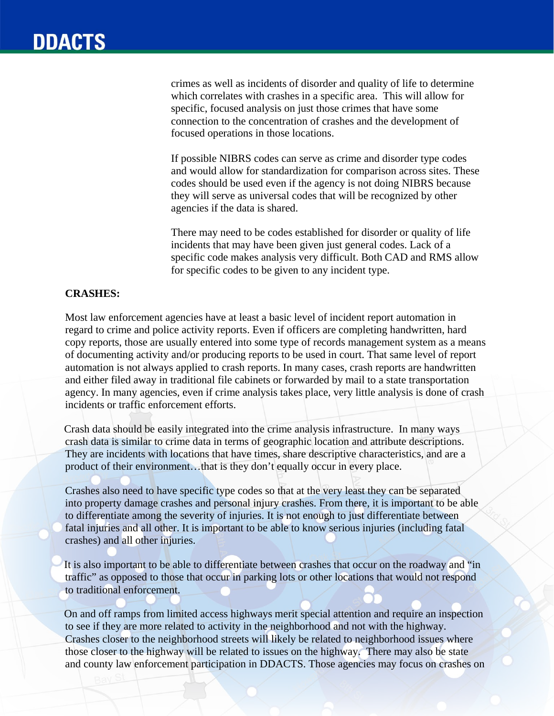crimes as well as incidents of disorder and quality of life to determine which correlates with crashes in a specific area. This will allow for specific, focused analysis on just those crimes that have some connection to the concentration of crashes and the development of focused operations in those locations.

If possible NIBRS codes can serve as crime and disorder type codes and would allow for standardization for comparison across sites. These codes should be used even if the agency is not doing NIBRS because they will serve as universal codes that will be recognized by other agencies if the data is shared.

There may need to be codes established for disorder or quality of life incidents that may have been given just general codes. Lack of a specific code makes analysis very difficult. Both CAD and RMS allow for specific codes to be given to any incident type.

#### **CRASHES:**

Most law enforcement agencies have at least a basic level of incident report automation in regard to crime and police activity reports. Even if officers are completing handwritten, hard copy reports, those are usually entered into some type of records management system as a means of documenting activity and/or producing reports to be used in court. That same level of report automation is not always applied to crash reports. In many cases, crash reports are handwritten and either filed away in traditional file cabinets or forwarded by mail to a state transportation agency. In many agencies, even if crime analysis takes place, very little analysis is done of crash incidents or traffic enforcement efforts.

Crash data should be easily integrated into the crime analysis infrastructure. In many ways crash data is similar to crime data in terms of geographic location and attribute descriptions. They are incidents with locations that have times, share descriptive characteristics, and are a product of their environment…that is they don't equally occur in every place.

Crashes also need to have specific type codes so that at the very least they can be separated into property damage crashes and personal injury crashes. From there, it is important to be able to differentiate among the severity of injuries. It is not enough to just differentiate between fatal injuries and all other. It is important to be able to know serious injuries (including fatal crashes) and all other injuries.

It is also important to be able to differentiate between crashes that occur on the roadway and "in traffic" as opposed to those that occur in parking lots or other locations that would not respond to traditional enforcement.

On and off ramps from limited access highways merit special attention and require an inspection to see if they are more related to activity in the neighborhood and not with the highway. Crashes closer to the neighborhood streets will likely be related to neighborhood issues where those closer to the highway will be related to issues on the highway. There may also be state and county law enforcement participation in DDACTS. Those agencies may focus on crashes on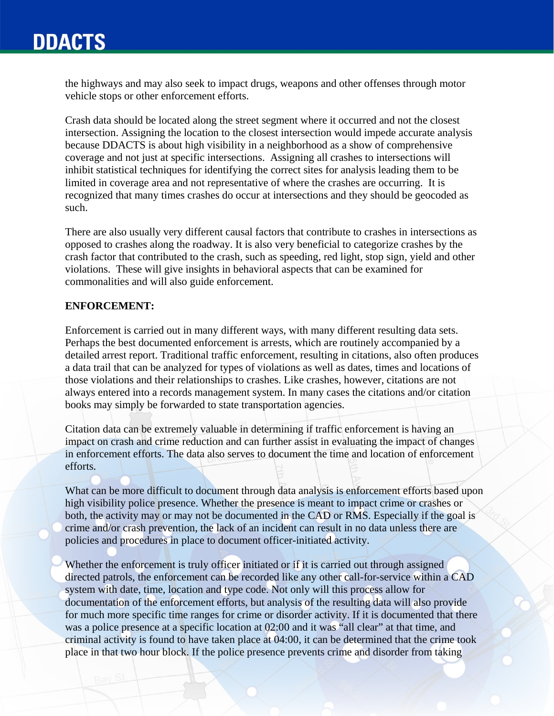## **DDACTS**

the highways and may also seek to impact drugs, weapons and other offenses through motor vehicle stops or other enforcement efforts.

Crash data should be located along the street segment where it occurred and not the closest intersection. Assigning the location to the closest intersection would impede accurate analysis because DDACTS is about high visibility in a neighborhood as a show of comprehensive coverage and not just at specific intersections. Assigning all crashes to intersections will inhibit statistical techniques for identifying the correct sites for analysis leading them to be limited in coverage area and not representative of where the crashes are occurring. It is recognized that many times crashes do occur at intersections and they should be geocoded as such.

There are also usually very different causal factors that contribute to crashes in intersections as opposed to crashes along the roadway. It is also very beneficial to categorize crashes by the crash factor that contributed to the crash, such as speeding, red light, stop sign, yield and other violations. These will give insights in behavioral aspects that can be examined for commonalities and will also guide enforcement.

#### **ENFORCEMENT:**

Enforcement is carried out in many different ways, with many different resulting data sets. Perhaps the best documented enforcement is arrests, which are routinely accompanied by a detailed arrest report. Traditional traffic enforcement, resulting in citations, also often produces a data trail that can be analyzed for types of violations as well as dates, times and locations of those violations and their relationships to crashes. Like crashes, however, citations are not always entered into a records management system. In many cases the citations and/or citation books may simply be forwarded to state transportation agencies.

Citation data can be extremely valuable in determining if traffic enforcement is having an impact on crash and crime reduction and can further assist in evaluating the impact of changes in enforcement efforts. The data also serves to document the time and location of enforcement efforts.

What can be more difficult to document through data analysis is enforcement efforts based upon high visibility police presence. Whether the presence is meant to impact crime or crashes or both, the activity may or may not be documented in the CAD or RMS. Especially if the goal is crime and/or crash prevention, the lack of an incident can result in no data unless there are policies and procedures in place to document officer-initiated activity.

Whether the enforcement is truly officer initiated or if it is carried out through assigned directed patrols, the enforcement can be recorded like any other call-for-service within a CAD system with date, time, location and type code. Not only will this process allow for documentation of the enforcement efforts, but analysis of the resulting data will also provide for much more specific time ranges for crime or disorder activity. If it is documented that there was a police presence at a specific location at 02:00 and it was "all clear" at that time, and criminal activity is found to have taken place at 04:00, it can be determined that the crime took place in that two hour block. If the police presence prevents crime and disorder from taking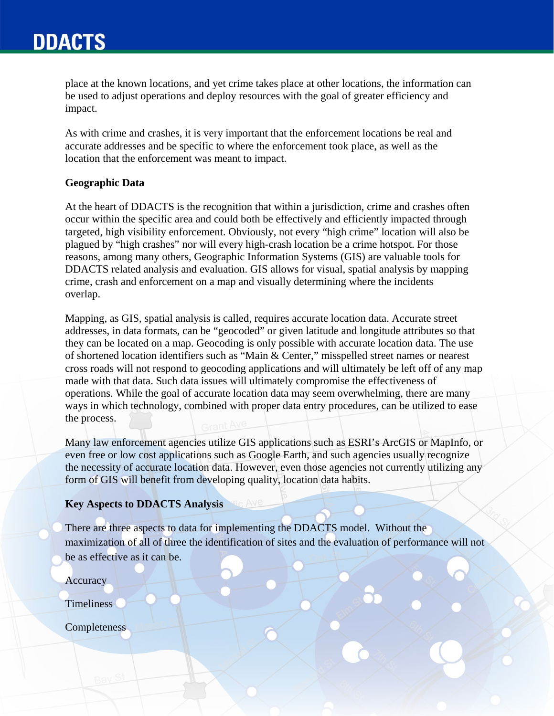## **DDACTS**

place at the known locations, and yet crime takes place at other locations, the information can be used to adjust operations and deploy resources with the goal of greater efficiency and impact.

As with crime and crashes, it is very important that the enforcement locations be real and accurate addresses and be specific to where the enforcement took place, as well as the location that the enforcement was meant to impact.

#### **Geographic Data**

At the heart of DDACTS is the recognition that within a jurisdiction, crime and crashes often occur within the specific area and could both be effectively and efficiently impacted through targeted, high visibility enforcement. Obviously, not every "high crime" location will also be plagued by "high crashes" nor will every high-crash location be a crime hotspot. For those reasons, among many others, Geographic Information Systems (GIS) are valuable tools for DDACTS related analysis and evaluation. GIS allows for visual, spatial analysis by mapping crime, crash and enforcement on a map and visually determining where the incidents overlap.

Mapping, as GIS, spatial analysis is called, requires accurate location data. Accurate street addresses, in data formats, can be "geocoded" or given latitude and longitude attributes so that they can be located on a map. Geocoding is only possible with accurate location data. The use of shortened location identifiers such as "Main & Center," misspelled street names or nearest cross roads will not respond to geocoding applications and will ultimately be left off of any map made with that data. Such data issues will ultimately compromise the effectiveness of operations. While the goal of accurate location data may seem overwhelming, there are many ways in which technology, combined with proper data entry procedures, can be utilized to ease the process.

Many law enforcement agencies utilize GIS applications such as ESRI's ArcGIS or MapInfo, or even free or low cost applications such as Google Earth, and such agencies usually recognize the necessity of accurate location data. However, even those agencies not currently utilizing any form of GIS will benefit from developing quality, location data habits.

#### **Key Aspects to DDACTS Analysis**

There are three aspects to data for implementing the DDACTS model. Without the maximization of all of three the identification of sites and the evaluation of performance will not be as effective as it can be.

**Accuracy** 

Timeliness

**Completeness**